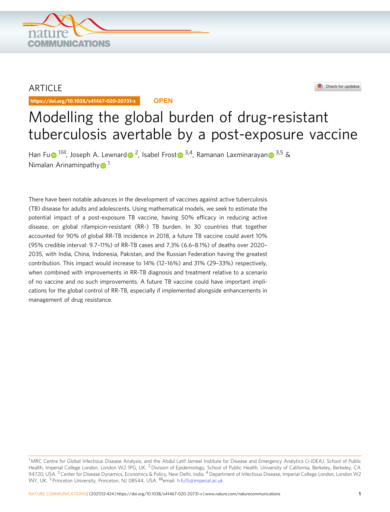

ARTICLE

https://doi.org/10.1038/s41467-020-20731-x **OPEN**

**OMMUNICATIONS** 



# Modelling the global burden of drug-resistant tuberculosis avertable by a post-exposure vaccine

Han F[u](http://orcid.org/0000-0002-8934-7347)  $\bigcirc$ <sup>1 $\boxtimes$  $\boxtimes$  $\boxtimes$ </sup>, Joseph A. Lewnar[d](http://orcid.org/0000-0002-5417-8475)  $\bigcirc$  <sup>2</sup>, Isabel Frost  $\bigcirc$  <sup>3,4</sup>, Rama[n](http://orcid.org/0000-0002-1390-9016)an Laxminarayan  $\bigcirc$  <sup>3,5</sup> & Nimalan Arinaminpath[y](http://orcid.org/0000-0001-9502-6876) $\bullet$ <sup>[1](http://orcid.org/0000-0001-9502-6876)</sup>

There have been notable advances in the development of vaccines against active tuberculosis (TB) disease for adults and adolescents. Using mathematical models, we seek to estimate the potential impact of a post-exposure TB vaccine, having 50% efficacy in reducing active disease, on global rifampicin-resistant (RR-) TB burden. In 30 countries that together accounted for 90% of global RR-TB incidence in 2018, a future TB vaccine could avert 10% (95% credible interval: 9.7–11%) of RR-TB cases and 7.3% (6.6–8.1%) of deaths over 2020– 2035, with India, China, Indonesia, Pakistan, and the Russian Federation having the greatest contribution. This impact would increase to 14% (12–16%) and 31% (29–33%) respectively, when combined with improvements in RR-TB diagnosis and treatment relative to a scenario of no vaccine and no such improvements. A future TB vaccine could have important implications for the global control of RR-TB, especially if implemented alongside enhancements in management of drug resistance.

<sup>&</sup>lt;sup>1</sup> MRC Centre for Global Infectious Disease Analysis; and the Abdul Latif Jameel Institute for Disease and Emergency Analytics (J-IDEA), School of Public Health, Imperial College London, London W2 1PG, UK. <sup>2</sup> Division of Epidemiology, School of Public Health, University of California, Berkeley, Berkeley, CA 94720, USA. <sup>3</sup> Center for Disease Dynamics, Economics & Policy, New Delhi, India. <sup>4</sup> Department of Infectious Disease, Imperial College London, London W2 1NY, UK. <sup>5</sup> Princeton University, Princeton, NJ 08544, USA. <sup>⊠</sup>email: [h.fu15@imperial.ac.uk](mailto:h.fu15@imperial.ac.uk)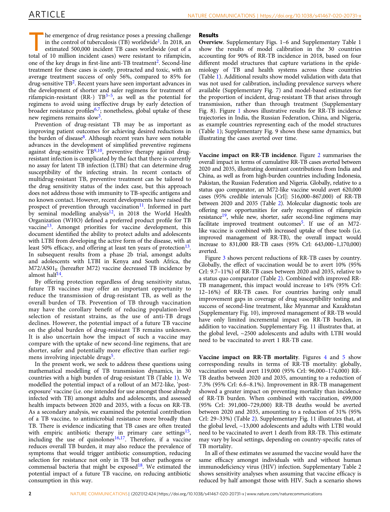The emergence of drug resistance poses a pressing challenge in the control of tuberculosis  $(TB)$  worldwide<sup>[1](#page-7-0)</sup>. In 2018, an estimated 500,000 incident TB cases worldwide (out of a total of 10 million incident cases) were resistant to rifampicin, one of the key drugs in first-line anti-TB treatment<sup>[2](#page-7-0)</sup>. Second-line treatment for these cases is costly, protracted and toxic, with an average treatment success of only 56%, compared to 85% for drug-sensitive  $TB^2$  $TB^2$ . Recent years have seen important advances in the development of shorter and safer regimens for treatment of rifampicin-resistant (RR-)  $TB^{3-5}$  $TB^{3-5}$  $TB^{3-5}$  $TB^{3-5}$  $TB^{3-5}$ , as well as the potential for regimens to avoid using ineffective drugs by early detection of broader resistance profiles $6,7$ ; nonetheless, global uptake of these new regimens remains slow<sup>3</sup>.

Prevention of drug-resistant TB may be as important as improving patient outcomes for achieving desired reductions in the burden of disease $8$ . Although recent years have seen notable advances in the development of simplified preventive regimens against drug-sensitive  $TB^{9,10}$  $TB^{9,10}$  $TB^{9,10}$  $TB^{9,10}$  $TB^{9,10}$ , preventive therapy against drugresistant infection is complicated by the fact that there is currently no assay for latent TB infection (LTBI) that can determine drug susceptibility of the infecting strain. In recent contacts of multidrug-resistant TB, preventive treatment can be tailored to the drug sensitivity status of the index case, but this approach does not address those with immunity to TB-specific antigens and no known contact. However, recent developments have raised the prospect of prevention through vaccination<sup>11</sup>. Informed in part by seminal modelling analysis<sup>12</sup>, in 2018 the World Health Organization (WHO) defined a preferred product profile for TB vaccine<sup>13</sup>. Amongst priorities for vaccine development, this document identified the ability to protect adults and adolescents with LTBI from developing the active form of the disease, with at least 50% efficacy, and offering at least ten years of protection $13$ . In subsequent results from a phase 2b trial, amongst adults and adolescents with LTBI in Kenya and South Africa, the  $M72/AS01<sub>E</sub>$  (hereafter M72) vaccine decreased TB incidence by almost half[14.](#page-8-0)

By offering protection regardless of drug sensitivity status, future TB vaccines may offer an important opportunity to reduce the transmission of drug-resistant TB, as well as the overall burden of TB. Prevention of TB through vaccination may have the corollary benefit of reducing population-level selection of resistant strains, as the use of anti-TB drugs declines. However, the potential impact of a future TB vaccine on the global burden of drug-resistant TB remains unknown. It is also uncertain how the impact of such a vaccine may compare with the uptake of new second-line regimens, that are shorter, safer and potentially more effective than earlier regi-mens involving injectable drugs<sup>[5](#page-7-0)</sup>.

In the present work, we seek to address these questions using mathematical modelling of TB transmission dynamics, in 30 countries with a high burden of drug-resistant TB (Table [1](#page-2-0)). We modelled the potential impact of a rollout of an M72-like, 'postexposure' vaccine (i.e. one intended for use amongst those already infected with TB) amongst adults and adolescents, and assessed health impacts between 2020 and 2035, with a focus on RR-TB. As a secondary analysis, we examined the potential contribution of a TB vaccine, to antimicrobial resistance more broadly than TB. There is evidence indicating that TB cases are often treated with empiric antibiotic therapy in primary care settings<sup>15</sup>, including the use of quinolones<sup>[16](#page-8-0),17</sup>. Therefore, if a vaccine reduces overall TB burden, it may also reduce the prevalence of symptoms that would trigger antibiotic consumption, reducing selection for resistance not only in TB but other pathogens or commensal bacteria that might be exposed<sup>18</sup>. We estimated the potential impact of a future TB vaccine, on reducing antibiotic consumption in this way.

# Results

Overview. Supplementary Figs. 1–6 and Supplementary Table 1 show the results of model calibration in the 30 countries accounting for 90% of RR-TB incidence in 2018, based on four different model structures that capture variations in the epidemiology of TB and health systems across these countries (Table [1\)](#page-2-0). Additional results show model validation with data that was not used for calibration, including prevalence surveys where available (Supplementary Fig. 7) and model-based estimates for the proportion of incident, drug-resistant TB that arises through transmission, rather than through treatment (Supplementary Fig. 8). Figure [1](#page-2-0) shows illustrative results for RR-TB incidence trajectories in India, the Russian Federation, China, and Nigeria, as example countries representing each of the model structures (Table [1](#page-2-0)); Supplementary Fig. 9 shows these same dynamics, but illustrating the cases averted over time.

Vaccine impact on RR-TB incidence. Figure [2](#page-3-0) summarises the overall impact in terms of cumulative RR-TB cases averted between 2020 and 2035, illustrating dominant contributions from India and China, as well as from high-burden countries including Indonesia, Pakistan, the Russian Federation and Nigeria. Globally, relative to a status quo comparator, an M72-like vaccine would avert 620,000 cases (95% credible intervals [CrI]: 516,000–867,000) of RR-TB between 2020 and 2035 (Table [2\)](#page-4-0). Molecular diagnostic tools are offering new opportunities for early recognition of rifampicin resistance<sup>19</sup>, while new, shorter, safer second-line regimens may facilitate improved treatment outcomes<sup>[5](#page-7-0)</sup>. If use of an  $M72$ like vaccine is combined with increased uptake of these tools (i.e. improved management of RR-TB), the overall impact would increase to 831,000 RR-TB cases (95% CrI: 643,000–1,170,000) averted.

Figure [3](#page-6-0) shows percent reductions of RR-TB cases by country. Globally, the effect of vaccination would be to avert 10% (95% CrI: 9.7–11%) of RR-TB cases between 2020 and 2035, relative to a status quo comparator (Table [2\)](#page-4-0). Combined with improved RR-TB management, this impact would increase to 14% (95% CrI: 12–16%) of RR-TB cases. For countries having only small improvement gaps in coverage of drug susceptibility testing and success of second-line treatment, like Myanmar and Kazakhstan (Supplementary Fig. 10), improved management of RR-TB would have only limited incremental impact on RR-TB burden, in addition to vaccination. Supplementary Fig. 11 illustrates that, at the global level, ~2500 adolescents and adults with LTBI would need to be vaccinated to avert 1 RR-TB case.

Vaccine impact on RR-TB mortality. Figures [4](#page-6-0) and [5](#page-7-0) show corresponding results in terms of RR-TB mortality: globally, vaccination would avert 119,000 (95% CrI: 96,000–174,000) RR-TB deaths between 2020 and 2035, amounting to a reduction of 7.3% (95% CrI: 6.6–8.1%). Improvement in RR-TB management showed a greater impact on preventing mortality than incidence of RR-TB burden. When combined with vaccination, 499,000 (95% CrI: 391,000–729,000) RR-TB deaths would be averted between 2020 and 2035, amounting to a reduction of 31% (95% CrI: 29–33%) (Table [2](#page-4-0)). Supplementary Fig. 11 illustrates that, at the global level, ~13,000 adolescents and adults with LTBI would need to be vaccinated to avert 1 death from RR-TB. This estimate may vary by local settings, depending on country-specific rates of TB mortality.

In all of these estimates we assumed the vaccine would have the same efficacy amongst individuals with and without human immunodeficiency virus (HIV) infection. Supplementary Table 2 shows sensitivity analyses when assuming that vaccine efficacy is reduced by half amongst those with HIV. Such a scenario shows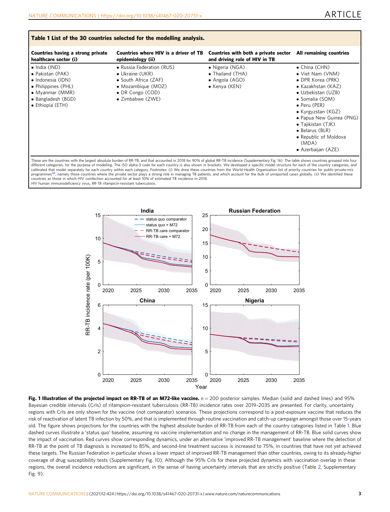<span id="page-2-0"></span>

| Countries having a strong private                                                                                                                  | Countries where HIV is a driver of TB                                                                                                                | Countries with both a private sector                                           | All remaining countries                                                                                                                                                                                                                                                                                  |
|----------------------------------------------------------------------------------------------------------------------------------------------------|------------------------------------------------------------------------------------------------------------------------------------------------------|--------------------------------------------------------------------------------|----------------------------------------------------------------------------------------------------------------------------------------------------------------------------------------------------------------------------------------------------------------------------------------------------------|
| healthcare sector (i)                                                                                                                              | epidemiology (ii)                                                                                                                                    | and driving role of HIV in TB                                                  |                                                                                                                                                                                                                                                                                                          |
| $\bullet$ India (IND)<br>• Pakistan (PAK)<br>• Indonesia (IDN)<br>• Philippines (PHL)<br>• Myanmar (MMR)<br>• Bangladesh (BGD)<br>• Ethiopia (ETH) | • Russia Federation (RUS)<br>$\bullet$ Ukraine (UKR)<br>• South Africa (ZAF)<br>• Mozambique $(MOZ)$<br>• DR Congo (COD)<br>$\bullet$ Zimbabwe (ZWE) | • Nigeria (NGA)<br>• Thailand (THA)<br>$\bullet$ Angola (AGO)<br>• Kenya (KEN) | $\bullet$ China (CHN)<br>• Viet Nam (VNM)<br>• DPR Korea (PRK)<br>• Kazakhstan (KAZ)<br>• Uzbekistan (UZB)<br>• Somalia (SOM)<br>$\bullet$ Peru (PER)<br>• Kyrgyzstan (KGZ)<br>• Papua New Guinea (PNG)<br>• Tajikistan (TJK)<br>• Belarus (BLR)<br>• Republic of Moldova<br>(MDA)<br>• Azerbaijan (AZE) |

These are the countries with the largest absolute burden of RR-TB, and that accounted in 2018 for 90% of global RR-TB incidence (Supplementary Fig. 16). The table shows countries grouped into four<br>different categories, for calibrated that model separately for each country within each category. Footnotes: (i) We drew these countries from the World Health Organization list of priority countries for public-private-mix<br>programmes<sup>46</sup>, namely tho countries as those in which HIV coinfection accounted for at least 10% of estimated TB incidence in 2018. HIV human immunodeficiency virus, RR-TB rifampicin-resistant tuberculosis.



Fig. 1 Illustration of the projected impact on RR-TB of an M72-like vaccine.  $n = 200$  posterior samples. Median (solid and dashed lines) and 95% Bayesian credible intervals (CrIs) of rifampicin-resistant tuberculosis (RR-TB) incidence rates over 2019–2035 are presented. For clarity, uncertainty regions with CrIs are only shown for the vaccine (not comparator) scenarios. These projections correspond to a post-exposure vaccine that reduces the risk of reactivation of latent TB infection by 50%, and that is implemented through routine vaccination and catch-up campaign amongst those over 15-years old. The figure shows projections for the countries with the highest absolute burden of RR-TB from each of the country categories listed in Table 1. Blue dashed curves illustrate a 'status quo' baseline, assuming no vaccine implementation and no change in the management of RR-TB. Blue solid curves show the impact of vaccination. Red curves show corresponding dynamics, under an alternative 'improved RR-TB management' baseline where the detection of RR-TB at the point of TB diagnosis is increased to 85%, and second-line treatment success is increased to 75%, in countries that have not yet achieved these targets. The Russian Federation in particular shows a lower impact of improved RR-TB management than other countries, owing to its already-higher coverage of drug susceptibility tests (Supplementary Fig. 10). Although the 95% CrIs for these projected dynamics with vaccination overlap in these regions, the overall incidence reductions are significant, in the sense of having uncertainty intervals that are strictly positive (Table [2,](#page-4-0) Supplementary Fig. 9).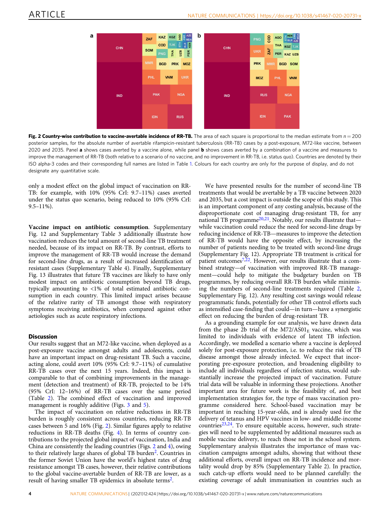<span id="page-3-0"></span>

Fig. 2 Country-wise contribution to vaccine-avertable incidence of RR-TB. The area of each square is proportional to the median estimate from  $n = 200$ posterior samples, for the absolute number of avertable rifampicin-resistant tuberculosis (RR-TB) cases by a post-exposure, M72-like vaccine, between 2020 and 2035. Panel a shows cases averted by a vaccine alone, while panel b shows cases averted by a combination of a vaccine and measures to improve the management of RR-TB (both relative to a scenario of no vaccine, and no improvement in RR-TB, i.e. status quo). Countries are denoted by their ISO alpha-3 codes and their corresponding full names are listed in Table [1.](#page-2-0) Colours for each country are only for the purpose of display, and do not designate any quantitative scale.

only a modest effect on the global impact of vaccination on RR-TB: for example, with 10% (95% CrI: 9.7–11%) cases averted under the status quo scenario, being reduced to 10% (95% CrI: 9.5–11%).

Vaccine impact on antibiotic consumption. Supplementary Fig. 12 and Supplementary Table 3 additionally illustrate how vaccination reduces the total amount of second-line TB treatment needed, because of its impact on RR-TB. By contrast, efforts to improve the management of RR-TB would increase the demand for second-line drugs, as a result of increased identification of resistant cases (Supplementary Table 4). Finally, Supplementary Fig. 13 illustrates that future TB vaccines are likely to have only modest impact on antibiotic consumption beyond TB drugs, typically amounting to <1% of total estimated antibiotic consumption in each country. This limited impact arises because of the relative rarity of TB amongst those with respiratory symptoms receiving antibiotics, when compared against other aetiologies such as acute respiratory infections.

# **Discussion**

Our results suggest that an M72-like vaccine, when deployed as a post-exposure vaccine amongst adults and adolescents, could have an important impact on drug-resistant TB. Such a vaccine, acting alone, could avert 10% (95% CrI: 9.7–11%) of cumulative RR-TB cases over the next 15 years. Indeed, this impact is comparable to that of combining improvements in the management (detection and treatment) of RR-TB, projected to be 14% (95% CrI: 12–16%) of RR-TB cases over the same period (Table [2](#page-4-0)). The combined effect of vaccination and improved management is roughly additive (Figs. [3](#page-6-0) and [5\)](#page-7-0).

The impact of vaccination on relative reductions in RR-TB burden is roughly consistent across countries, reducing RR-TB cases between 5 and 16% (Fig. 2). Similar figures apply to relative reductions in RR-TB deaths (Fig. [4\)](#page-6-0). In terms of country contributions to the projected global impact of vaccination, India and China are consistently the leading countries (Figs. 2 and [4](#page-6-0)), owing to their relatively large shares of global TB burden<sup>[2](#page-7-0)</sup>. Countries in the former Soviet Union have the world's highest rates of drug resistance amongst TB cases, however, their relative contributions to the global vaccine-avertable burden of RR-TB are lower, as a result of having smaller TB epidemics in absolute terms<sup>2</sup>.

We have presented results for the number of second-line TB treatments that would be avertable by a TB vaccine between 2020 and 2035, but a cost impact is outside the scope of this study. This is an important component of any costing analysis, because of the disproportionate cost of managing drug-resistant TB, for any national TB programme<sup>[20,21](#page-8-0)</sup>. Notably, our results illustrate that while vaccination could reduce the need for second-line drugs by reducing incidence of RR-TB—measures to improve the detection of RR-TB would have the opposite effect, by increasing the number of patients needing to be treated with second-line drugs (Supplementary Fig. 12). Appropriate TB treatment is critical for patient outcomes<sup>[7](#page-7-0),22</sup>. However, our results illustrate that a combined strategy—of vaccination with improved RR-TB management—could help to mitigate the budgetary burden on TB programmes, by reducing overall RR-TB burden while minimising the numbers of second-line treatments required (Table [2,](#page-4-0) Supplementary Fig. 12). Any resulting cost savings would release programmatic funds, potentially for other TB control efforts such as intensified case-finding that could—in turn—have a synergistic effect on reducing the burden of drug-resistant TB.

As a grounding example for our analysis, we have drawn data from the phase 2b trial of the  $M72/AS01<sub>E</sub>$  vaccine, which was limited to individuals with evidence of latent TB infection. Accordingly, we modelled a scenario where a vaccine is deployed solely for post-exposure protection, i.e. to reduce the risk of TB disease amongst those already infected. We expect that incorporating pre-exposure protection, and broadening eligibility to include all individuals regardless of infection status, would substantially increase the projected impact of vaccination. Future trial data will be valuable in informing these projections. Another important area for future work is the feasibility of, and best implementation strategies for, the type of mass vaccination programme considered here. School-based vaccination may be important in reaching 15-year-olds, and is already used for the delivery of tetanus and HPV vaccines in low- and middle-income countries $23,24$ . To ensure equitable access, however, such strategies will need to be supplemented by additional measures such as mobile vaccine delivery, to reach those not in the school system. Supplementary analysis illustrates the importance of mass vaccination campaigns amongst adults, showing that without these additional efforts, overall impact on RR-TB incidence and mortality would drop by 85% (Supplementary Table 2). In practice, such catch-up efforts would need to be planned carefully: the existing coverage of adult immunisation in countries such as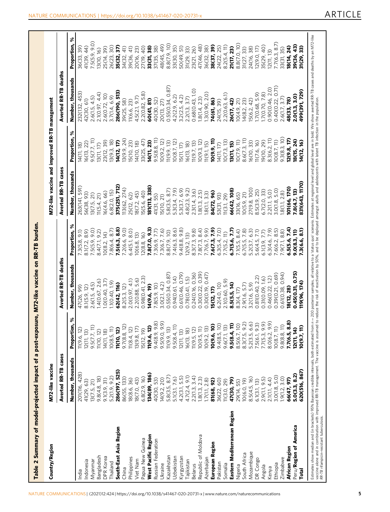| <b>The Line</b>                                                                   |
|-----------------------------------------------------------------------------------|
|                                                                                   |
|                                                                                   |
| ֦֧֖֖֖֖֧֧֖֚֚֚֚֝֬֓֓֝֓֬֓֓֓֝֓֬֝֓֬֝֓֬֝֓֬֝֓֬֓֝֓֝֬֝֓֬֓֓֬֓֓֬֝֓֬֝֓֬֝֓֬֝֓֬֝֓֬֝֬֓֬֝֓֬֝֓֬֝֬֝֓ |
|                                                                                   |
|                                                                                   |
|                                                                                   |
|                                                                                   |
|                                                                                   |
| י<br>ש                                                                            |
|                                                                                   |
| ֖֧֧֧֪֪ׅ֧֪֪ׅ֦֖֚֚֚֚֚֚֚֚֚֚֚֚֚֚֚֚֚֚֚֚֚֚֚֚֚֚֚֚֚֚֚֬֝֝֝֝                                 |
|                                                                                   |
|                                                                                   |
|                                                                                   |
|                                                                                   |
|                                                                                   |
|                                                                                   |
|                                                                                   |
|                                                                                   |
|                                                                                   |
|                                                                                   |
| nost-portan                                                                       |
|                                                                                   |
|                                                                                   |
|                                                                                   |
|                                                                                   |
|                                                                                   |
|                                                                                   |
|                                                                                   |
|                                                                                   |
|                                                                                   |
|                                                                                   |
| 」<br>12.200mm<br>1                                                                |
|                                                                                   |
| $\frac{1}{2}$                                                                     |
|                                                                                   |
|                                                                                   |
|                                                                                   |
|                                                                                   |
|                                                                                   |
|                                                                                   |
|                                                                                   |

<span id="page-4-0"></span>

| Country/Region                                                                                                                                                                                                                                                                                                                                                                                                                                                                                               | M72-like vaccine           |                                    |                             |                    | M72-like vaccine and improved RR-TB management |                            |                      |                          |
|--------------------------------------------------------------------------------------------------------------------------------------------------------------------------------------------------------------------------------------------------------------------------------------------------------------------------------------------------------------------------------------------------------------------------------------------------------------------------------------------------------------|----------------------------|------------------------------------|-----------------------------|--------------------|------------------------------------------------|----------------------------|----------------------|--------------------------|
|                                                                                                                                                                                                                                                                                                                                                                                                                                                                                                              | <b>Averted RR-TB cases</b> |                                    | <b>Averted RR-TB deaths</b> |                    | <b>Averted RR-TB cases</b>                     |                            | Averted RR-TB deaths |                          |
|                                                                                                                                                                                                                                                                                                                                                                                                                                                                                                              | Number, thousands          | శ<br>Proportion,                   | Number, thousands           | శ<br>Proportion,   | Number, thousands                              | శ<br>Proportion,           | Number, thousands    | ४<br>Proportion,         |
| India                                                                                                                                                                                                                                                                                                                                                                                                                                                                                                        | 201(116, 428)              | 11(9.6, 12)                        | 47(26, 99)                  | 7.3(5.8, 9.1)      | 263(141, 591)                                  | 14(11, 18)                 | 232(132, 453)        | 36(33, 39)               |
| Indonesia                                                                                                                                                                                                                                                                                                                                                                                                                                                                                                    | 41(29, 63)                 | 2(11, 13)                          | 8.1(5.9, 12)                | 8.1(7.2, 8.9)      | 56(38, 93)                                     | 6(13, 22)                  | 42(30, 61)           | 41(39, 44)               |
| Myanmar                                                                                                                                                                                                                                                                                                                                                                                                                                                                                                      | 13(7.5, 21)                | 9.5(7.7, 11)                       | 2.6(1.5, 4.5)               | 7.5(5.9, 9.0)      | 3(7.5, 21)                                     | 9.5(7.7, 11)               | 2.6(1.5, 4.5)        | 7.5(5.9, 9.0)            |
| Bangladesh                                                                                                                                                                                                                                                                                                                                                                                                                                                                                                   | 9.8(4.8, 18)               | 11(10, 12)                         | 1.4(0.67, 2.6)              | 8.4(7.1, 9.2)      | 11(5.4, 21)                                    | 3(11, 17)                  | 2.1(0.97, 4.4)       | 3(10, 16)                |
| DPR Korea                                                                                                                                                                                                                                                                                                                                                                                                                                                                                                    | 9.1(3.9, 31)               | 14(11, 18)                         | 1.0(0.40, 3.7)              | 10(8.2, 14)        | 16(4.6, 66)                                    | 23(12, 39)                 | 2.6(0.72, 10)        | 25(14, 39)               |
| Thailand                                                                                                                                                                                                                                                                                                                                                                                                                                                                                                     | 5.2(1.9, 9.2)              | 10(8.5, 11)                        | 1.1(0.40, 1.9)              | 7.8(6.4, 8.7)      | 6.8(2.0, 15)                                   | 3(9.3, 18)                 | 3.7(1.4, 6.9)        | 26(23, 30)               |
| South-East Asia Region                                                                                                                                                                                                                                                                                                                                                                                                                                                                                       | 286(197, 525)              | 11(10, 12)                         | 62(42, 116)                 | 7.5(6.3, 8.8)      | 375(251, 712)                                  | 14(12, 17)                 | 286(190, 513)        | 35(32, 37)               |
| China                                                                                                                                                                                                                                                                                                                                                                                                                                                                                                        | 86(55, 133)                | 9.7(8.8, 12)                       | 8.2(5.3, 12)                | 7.2(6.6, 9.0)      | 13(62, 274)                                    | 3(9.9, 24)                 | 39(25, 58)           | $\widehat{41}$<br>34(32, |
| Philippines                                                                                                                                                                                                                                                                                                                                                                                                                                                                                                  | 18(8.6, 36)                | 1(8.4, 12)                         | 2.0(0.97, 4.1)              | 6.4(5.1, 8.0)      | 25(12, 62)                                     | 5(10, 23)                  | 11(6.6, 23)          | 41)<br>39(36,            |
| Viet Nam                                                                                                                                                                                                                                                                                                                                                                                                                                                                                                     | 18(7.0, 43)                | 13(9.8, 17)                        | 2.2(0.88, 5.6)              | 10(6.8, 13)        | 8(7.2, 45)                                     | 4(10, 18)                  | 4.5(2.1, 9.7)        | 20(16, 23)               |
| Papua New Guinea                                                                                                                                                                                                                                                                                                                                                                                                                                                                                             | 6.8(2.9, 16)               | 5(12, 19)                          | 0.98(0.41, 2.3)             | 12(8.8, 16)        | 5(5.6, 40)                                     | 33(25, 47)                 | 2.2(0.82, 5.8)       | 27(19, 40)               |
| West Pacific Region                                                                                                                                                                                                                                                                                                                                                                                                                                                                                          | 134(89, 186)               | 11(9.6, 12)                        | 14(9.6, 19)                 | 7.8(7.0, 9.3)      | 181(113, 338)                                  | 14(11, 23)                 | 60(41, 81)           | 33(31, 38)               |
| Russian Federation                                                                                                                                                                                                                                                                                                                                                                                                                                                                                           | 40(30, 53)                 | 9.4(8.9, 9.8)                      | 7.8(5.9, 10)                | 7.3(6.9, 7.7)      | 41(31, 55)                                     | 9.5(8.8, 11)               | 40(30, 52)           | 37(35, 38)               |
| Ukraine                                                                                                                                                                                                                                                                                                                                                                                                                                                                                                      | 14(9.2, 20)                | 9.5(9.0, 9.9)                      | 3.0(2.1, 4.2)               | 7.3(6.7, 7.6)      | 15(10, 21)                                     | 10(9.2, 12)                | 20(13, 27)           | 48(45, 49)               |
| Kazakhstan                                                                                                                                                                                                                                                                                                                                                                                                                                                                                                   | 5.8(3.5, 8.7               | 11(9.9, 13)                        | 0.55(0.34, 0.87)            | 8.8(7.9, 10)       | 5.8(3.5, 8.7)                                  | 11(9.9, 13)                | 0.55(0.34, 0.87)     | 8.8(7.9, 10)             |
| Uzbekistan                                                                                                                                                                                                                                                                                                                                                                                                                                                                                                   | 5.1(3.1, 7.6)              | 9.5(8.4, 11)                       | 0.94(0.61, 1.4)             | 7.4(6.3, 8.6)      | 5.3(3.4, 7.9)                                  | O(8.7, 12)                 | 4.2(2.9, 6.2)        | 33(30, 35)               |
| Kyrgyzstan                                                                                                                                                                                                                                                                                                                                                                                                                                                                                                   | 4.2(3.1, 5.5)              | 12(11, 13)                         | 0.61(0.46, 0.79)            | 9.4(8.8, 9.8)      | 5.3(3.7, 6.9)                                  | 5(11, 17)                  | 3.2(2.5, 4.2)        | 50(49, 51)               |
| Tajikistan                                                                                                                                                                                                                                                                                                                                                                                                                                                                                                   | 4.7(2.4, 9.1)              | 16(13, 18)                         | 0.78(0.41, 1.5)             | 12(9.2, 13)        | 9.2<br>4.8(2.3,                                | 6(13, 18)                  | 2.2(1.3, 3.7)        | 31(29, 33)               |
| Belarus                                                                                                                                                                                                                                                                                                                                                                                                                                                                                                      | 2.2(1.3, 3.4)              | 11(9.5, 12)                        | 0.24(0.16, 0.36)            | 9.8<br>8.3(7.3,    | 2.3(1.4, 3.6)                                  | 1(9.7, 13)                 | 0.68(0.43, 1.0)      | 23(21, 26)               |
| Republic of Moldova                                                                                                                                                                                                                                                                                                                                                                                                                                                                                          | 1.8(1.3, 2.3)              | 10(9.5, 11)                        | 0.39)<br>0.30(0.22,         | (3, 4)<br>7.8(7.3) | 1.8(1.3, 2.5)                                  | 0(9.3, 12)                 | 1.8(1.4, 2.3)        | 47(46, 48)               |
| Azerbaijan                                                                                                                                                                                                                                                                                                                                                                                                                                                                                                   | 1.7(1.1, 2.8)              | 10(9.2, 13)                        | 0.47<br>0.30(0.19)          | (6.6)<br>7.7(6.7,  | 1.8(1.1, 3.3)                                  | 1(9.1, 15)                 | 1.3(0.90, 2.0)       | 36(32, 38)               |
| European Region                                                                                                                                                                                                                                                                                                                                                                                                                                                                                              | 81(68, 92)                 | 10(9.6, 10)                        | 15(12, 17)                  | 7.6(7.3, 7.9)      | 84(72, 96)                                     | 10(9.9, 11)                | 74(61, 86)           | 38(37, 39)               |
| Pakistan                                                                                                                                                                                                                                                                                                                                                                                                                                                                                                     | 36(22, 60)                 | $9.4(8.5, 10)$<br>$9.6(7.1, 13)$   | 6.2(4.0, 10)                | 6.3(5.4, 7.0)      | 53(31, 93)                                     | 4(11, 17)                  | 24(15, 39)           | 24(22, 25)               |
| Somalia                                                                                                                                                                                                                                                                                                                                                                                                                                                                                                      | 11(3.0, 29)                |                                    | 2.1(0.60, 5.9)              | 7.7(5.2, 11)       | 11(3.1, 29)                                    | $\widehat{\Xi}$<br>10(7.3, | 2.2(0.63, 6.1)       | 8.2(5.4, 11)             |
| Eastern Mediterranean Region                                                                                                                                                                                                                                                                                                                                                                                                                                                                                 | 47(30, 79)                 | $9.5(8.4, 11)$<br>$8.5(6.7, 10)$   | 8.5(5.5, 14)                | 6.7(5.6, 7.7)      | 66(42, 108)                                    | <b>3(11, 15)</b>           | 26(17, 42)           | 21(17, 23)               |
| Nigeria                                                                                                                                                                                                                                                                                                                                                                                                                                                                                                      | 29(14, 55)                 |                                    | 8.3(4, 17)                  | 7.1(5.5, 8.4)      | 33(16, 65)                                     | 10(7.9, 11)                | 10(4.9, 21)          | 8.8(7.0, 10)             |
| South Africa                                                                                                                                                                                                                                                                                                                                                                                                                                                                                                 | 10(6.0, 19)                | $8.3(7.5, 9.2)$<br>$5.2(3.5, 6.6)$ | 2.9(1.6, 5.7)               | 7.8)<br>6.7(5.5,   | 0(5.9, 21)                                     | 8.6(7.3, 11)               | 14(8.2, 23)          | 31(27, 33)               |
| Mozambique                                                                                                                                                                                                                                                                                                                                                                                                                                                                                                   | 8.5(4.5, 16)               |                                    | 3.2(1.6, 5.9)               | 5.2(3.7, 6.3)      | 27(9.8, 100)                                   | 6(10, 33)                  | 5(6.2, 42)           | 24(16, 38)               |
| DR Congo                                                                                                                                                                                                                                                                                                                                                                                                                                                                                                     | 6.1(3.1, 13)               | 7.5(6.1, 9.3)                      | 0.81(0.40, 2.2)             | 5.6(4.5, 7.1)      | 8.5(3.9, 25)                                   | 11(7.6, 16)                | 1.7(0.68, 5.9)       | 2(9.0, 17)               |
| Angola                                                                                                                                                                                                                                                                                                                                                                                                                                                                                                       | 2.9(1.1, 9.5)              | 7.7(5.3, 9.9)                      | 0.31(0.09, 1.6)             | 6.1(3.9, 7.7)      | 6.7(2.0, 33)                                   | 9(10, 29)                  | 1.7(0.70, 7.8)       | 35(29, 40)               |
| Kenya                                                                                                                                                                                                                                                                                                                                                                                                                                                                                                        | 2.1(1.1, 4.4)              | 8.0(6.2, 9.9)                      | 0.46(0.22, 1.2)             | 6.3(4.6, 7.9)      | 2.2(1.1, 5.0)                                  | 3.3(6.2, 11)               | 0.90(0.46, 2.0)      | 2(11, 13)                |
| Ethiopia                                                                                                                                                                                                                                                                                                                                                                                                                                                                                                     | 3.0(1.8, 5.0)              | 10(8.7, 11)                        | 0.39(0.21, 0.69)            | 7.6(6.2, 8.5)      | 3.0(1.8, 5.0)                                  | 0(8.7, 11)                 | 0.71)<br>0.40(0.22,  | 7.7(6.3, 8.7)            |
| Zimbabwe                                                                                                                                                                                                                                                                                                                                                                                                                                                                                                     | 1.9(1.2, 3.0)              | 9.8(8.8, 11)                       | 0.61(0.38, 0.94)            | 7.9(7.1, 8.8)      | 1.8(1.1, 2.8)                                  | 9.3(8.3, 10)               | 2.6(1.7, 3.7)        | 33(31, 35)               |
| African Region                                                                                                                                                                                                                                                                                                                                                                                                                                                                                               | 66(47, 97)                 | 7.7(6.5, 8.8)                      | 8(12, 28)                   | 6.5(5.6, 7.4)      | 01(66, 170)                                    | (2(9.8, 17))               | 48(33, 78)           | 8(14, 24)                |
| Peru/Region of America                                                                                                                                                                                                                                                                                                                                                                                                                                                                                       | 5.0(3.3, 8.2)              | 12(11, 14)                         | 0.45 (0.31, 0.75)           | 9.0(8.3, 11)       | 7.8(4.7, 13)                                   | 18(15, 24)                 | 2.0(1.3, 3.0)        | 39(36, 43)               |
| <b>Total</b>                                                                                                                                                                                                                                                                                                                                                                                                                                                                                                 | 620(516, 867)              | 10(9.7, 11)                        | 19(96, 174)                 | 7.3(6.6, 8.1)      | 831(643, 1170)                                 | 14(12, 16)                 | 499(391, 729)        | 31(29, 33)               |
| Estimates show median and (in brackets) 95% Bayesian credible intervals, both estimated from n= 200 posterior samples, all relative to a 'status quo' scenario. Estimates at regional level and gobal level are in bold. We sh<br>vaccine alone and in combination with improved RR-TB management. The vaccine is assumed to reduce the risk of reactivation by 50%, and to be deployed amongst adults and adolescents with latent TB infection in the populatio<br>RR-TB rifampicin-resistant tuberculosis. |                            |                                    |                             |                    |                                                |                            |                      |                          |

7 7

 $\overline{1}$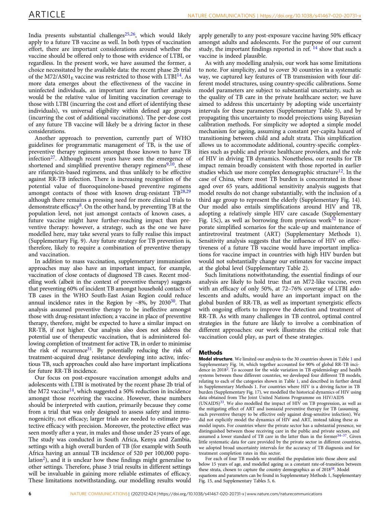India presents substantial challenges $25,26$ , which would likely apply to a future TB vaccine as well. In both types of vaccination effort, there are important considerations around whether the vaccine should be offered only to those with evidence of LTBI, or regardless. In the present work, we have assumed the former, a choice necessitated by the available data: the recent phase 2b trial of the M72/AS01 $_F$  vaccine was restricted to those with LTBI<sup>[14](#page-8-0)</sup>. As more data emerges about the effectiveness of the vaccine in uninfected individuals, an important area for further analysis would be the relative value of limiting vaccination coverage to those with LTBI (incurring the cost and effort of identifying these individuals), vs universal eligibility within defined age groups (incurring the cost of additional vaccinations). The per-dose cost of any future TB vaccine will likely be a driving factor in these considerations.

Another approach to prevention, currently part of WHO guidelines for programmatic management of TB, is the use of preventive therapy regimens amongst those known to have TB infection $27$ . Although recent years have seen the emergence of shortened and simplified preventive therapy regimens $9,10$  $9,10$ , these are rifampicin-based regimens, and thus unlikely to be effective against RR-TB infection. There is increasing recognition of the potential value of fluoroquinolone-based preventive regimens amongst contacts of those with known drug-resistant  $TB^{28,29}$  $TB^{28,29}$  $TB^{28,29}$ although there remains a pressing need for more clinical trials to demonstrate efficacy $8$ . On the other hand, by preventing TB at the population level, not just amongst contacts of known cases, a future vaccine might have further-reaching impact than preventive therapy: however, a strategy, such as the one we have modelled here, may take several years to fully realise this impact (Supplementary Fig. 9). Any future strategy for TB prevention is, therefore, likely to require a combination of preventive therapy and vaccination.

In addition to mass vaccination, supplementary immunisation approaches may also have an important impact, for example, vaccination of close contacts of diagnosed TB cases. Recent modelling work (albeit in the context of preventive therapy) suggests that preventing 60% of incident TB amongst household contacts of TB cases in the WHO South-East Asian Region could reduce annual incidence rates in the Region by ~8%, by  $2030^{30}$ . That analysis assumed preventive therapy to be ineffective amongst those with drug-resistant infection; a vaccine in place of preventive therapy, therefore, might be expected to have a similar impact on RR-TB, if not higher. Our analysis also does not address the potential use of therapeutic vaccination, that is administered following completion of treatment for active TB, in order to minimise the risk of recurrence<sup>31</sup>. By potentially reducing the risk of treatment-acquired drug resistance developing into active, infectious TB, such approaches could also have important implications for future RR-TB incidence.

Our focus on post-exposure vaccination amongst adults and adolescents with LTBI is motivated by the recent phase 2b trial of the M72 vaccine<sup>14</sup>, which suggested a 50% reduction in incidence amongst those receiving the vaccine. However, these numbers should be interpreted with caution, primarily because they come from a trial that was only designed to assess safety and immunogenicity, not efficacy; larger trials are needed to estimate protective efficacy with precision. Moreover, the protective effect was seen mostly after a year, in males and those under 25 years of age. The study was conducted in South Africa, Kenya and Zambia, settings with a high overall burden of TB (for example with South Africa having an annual TB incidence of 520 per 100,000 popu $lation<sup>2</sup>$ ), and it is unclear how these findings might generalise to other settings. Therefore, phase 3 trial results in different settings will be invaluable in gaining more reliable estimates of efficacy. These limitations notwithstanding, our modelling results would apply generally to any post-exposure vaccine having 50% efficacy amongst adults and adolescents. For the purpose of our current study, the important findings reported in ref.  $^{14}$  $^{14}$  $^{14}$  show that such a vaccine is indeed plausible.

As with any modelling analysis, our work has some limitations to note. For simplicity, and to cover 30 countries in a systematic way, we captured key features of TB transmission with four different model structures, using country-specific calibrations. Some model parameters are subject to substantial uncertainty, such as the quality of TB care in the private healthcare sector; we have aimed to address this uncertainty by adopting wide uncertainty intervals for these parameters (Supplementary Table 5), and by propagating this uncertainty to model projections using Bayesian calibration methods. For simplicity we adopted a simple model mechanism for ageing, assuming a constant per-capita hazard of transitioning between child and adult strata. This simplification allows us to accommodate additional, country-specific complexities such as public and private healthcare providers, and the role of HIV in driving TB dynamics. Nonetheless, our results for TB impact remain broadly consistent with those reported in earlier studies which use more complex demographic structure<sup>12</sup>. In the case of China, where most TB burden is concentrated in those aged over 65 years, additional sensitivity analysis suggests that model results do not change substantially, with the inclusion of a third age group to represent the elderly (Supplementary Fig. 14). Our model also entails simplifications around HIV and TB, adopting a relatively simple HIV care cascade (Supplementary Fig. 15c), as well as borrowing from previous work $32$  to incorporate simplified scenarios for the scale-up and maintenance of antiretroviral treatment (ART) (Supplementary Methods 1). Sensitivity analysis suggests that the influence of HIV on effectiveness of a future TB vaccine would have important implications for vaccine impact in countries with high HIV burden but would not substantially change our estimates for vaccine impact at the global level (Supplementary Table 2).

Such limitations notwithstanding, the essential findings of our analysis are likely to hold true: that an M72-like vaccine, even with an efficacy of only 50%, at 72–76% coverage of LTBI adolescents and adults, would have an important impact on the global burden of RR-TB, as well as important synergistic effects with ongoing efforts to improve the detection and treatment of RR-TB. As with many challenges in TB control, optimal control strategies in the future are likely to involve a combination of different approaches: our work illustrates the critical role that vaccination could play, as part of these strategies.

#### Methods

Model structure. We limited our analysis to the 30 countries shown in Table [1](#page-2-0) and Supplementary Fig. 16, which together accounted for 90% of global RR-TB incidence in 2018<sup>2</sup>. To account for the wide variation in TB epidemiology and health systems between these different countries, we developed four different TB models, relating to each of the categories shown in Table [1](#page-2-0), and described in further detail in Supplementary Methods 1. For countries where HIV is a driving factor in TB burden (Supplementary Fig. 17), we modelled the historical dynamics of HIV using data obtained from The Joint United Nations Programme on HIV/AIDS  $(UNAIDS)^{33}$  $(UNAIDS)^{33}$  $(UNAIDS)^{33}$ . We also modelled the impact of HIV on TB progression, as well as the mitigating effect of ART and isoniazid preventive therapy for TB (assuming such preventive therapy to be effective only against drug-sensitive infection). We did not explicitly model the dynamics of HIV and ART, instead taking these as model inputs. For countries where the private sector has a substantial presence, we distinguished between those receiving care in the public and private sectors, and assumed a lower standard of TB care in the latter than in the former $34-37$ . Given little systematic data for care provided by the private sector in different countries, we adopted broad uncertainty intervals for the accuracy of TB diagnosis and for treatment completion rates in this sector.

For each of four TB models we stratified the population into those above and below 15 years of age, and modelled ageing as a constant rate-of-transition between these strata, chosen to capture the country demographics as of 2018<sup>38</sup>. Model equations and parameters can be found in Supplementary Methods 1, Supplementary Fig. 15, and Supplementary Tables 5, 6.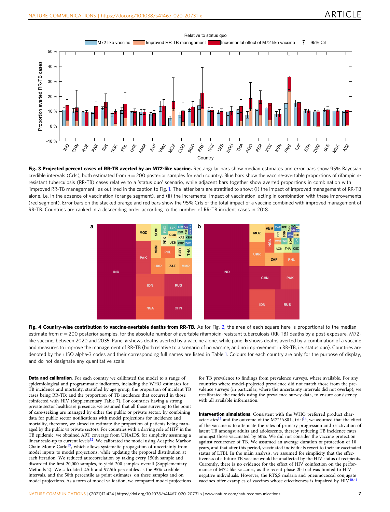<span id="page-6-0"></span>

Fig. 3 Projected percent cases of RR-TB averted by an M72-like vaccine. Rectangular bars show median estimates and error bars show 95% Bayesian credible intervals (CrIs), both estimated from  $n = 200$  posterior samples for each country. Blue bars show the vaccine-avertable proportions of rifampicinresistant tuberculosis (RR-TB) cases relative to a 'status quo' scenario, while adjacent bars together show averted proportions in combination with 'improved RR-TB management', as outlined in the caption to Fig. [1](#page-2-0). The latter bars are stratified to show: (i) the impact of improved management of RR-TB alone, i.e. in the absence of vaccination (orange segment), and (ii) the incremental impact of vaccination, acting in combination with these improvements (red segment). Error bars on the stacked orange and red bars show the 95% CrIs of the total impact of a vaccine combined with improved management of RR-TB. Countries are ranked in a descending order according to the number of RR-TB incident cases in 2018.



Fig. 4 Country-wise contribution to vaccine-avertable deaths from RR-TB. As for Fig. [2,](#page-3-0) the area of each square here is proportional to the median estimate from  $n = 200$  posterior samples, for the absolute number of avertable rifampicin-resistant tuberculosis (RR-TB) deaths by a post-exposure, M72like vaccine, between 2020 and 2035. Panel a shows deaths averted by a vaccine alone, while panel **b** shows deaths averted by a combination of a vaccine and measures to improve the management of RR-TB (both relative to a scenario of no vaccine, and no improvement in RR-TB, i.e. status quo). Countries are denoted by their ISO alpha-3 codes and their corresponding full names are listed in Table [1](#page-2-0). Colours for each country are only for the purpose of display, and do not designate any quantitative scale.

Data and calibration. For each country we calibrated the model to a range of epidemiological and programmatic indicators, including the WHO estimates for TB incidence and mortality, stratified by age group; the proportion of incident TB cases being RR-TB; and the proportion of TB incidence that occurred in those coinfected with HIV (Supplementary Table 7). For countries having a strong private sector healthcare presence, we assumed that all those surviving to the point of care-seeking are managed by either the public or private sector: by combining data for public sector notifications with model projections for incidence and mortality, therefore, we aimed to estimate the proportion of patients being managed by the public vs private sectors. For countries with a driving role of HIV in the TB epidemic, we obtained ART coverage from UNAIDS, for simplicity assuming a linear scale-up to current levels<sup>32</sup>. We calibrated the model using Adaptive Markov Chain Monte Carlo<sup>39</sup>, which allows systematic propagation of uncertainty from model inputs to model projections, while updating the proposal distribution at each iteration. We reduced autocorrelation by taking every 150th sample and discarded the first 20,000 samples, to yield 200 samples overall (Supplementary Methods 2). We calculated 2.5th and 97.5th percentiles as the 95% credible intervals, and the 50th percentile as point estimates, on these samples and on model projections. As a form of model validation, we compared model projections

for TB prevalence to findings from prevalence surveys, where available. For any countries where model-projected prevalence did not match those from the prevalence surveys (in particular, where the uncertainty intervals did not overlap), we recalibrated the models using the prevalence survey data, to ensure consistency with all available information.

Intervention simulations. Consistent with the WHO preferred product char-acteristics<sup>[13](#page-8-0)</sup> and the outcome of the M72/AS01<sub>E</sub> trial<sup>[14](#page-8-0)</sup>, we assumed that the effect of the vaccine is to attenuate the rates of primary progression and reactivation of latent TB amongst adults and adolescents, thereby reducing TB incidence rates amongst those vaccinated by 50%. We did not consider the vaccine protection against recurrence of TB. We assumed an average duration of protection of 10 years, and that after this period, vaccinated individuals revert to their unvaccinated status of LTBI. In the main analysis, we assumed for simplicity that the effectiveness of a future TB vaccine would be unaffected by the HIV status of recipients. Currently, there is no evidence for the effect of HIV coinfection on the performance of M72-like vaccines, as the recent phase 2b trial was limited to HIVnegative individuals. However, the RTS,S malaria and pneumococcal conjugate vaccines offer examples of vaccines whose effectiveness is impaired by HIV<sup>[40,41](#page-8-0)</sup>.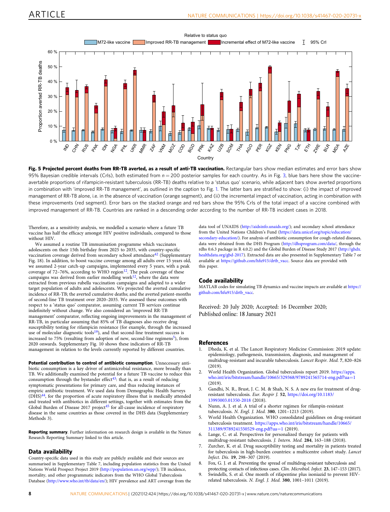<span id="page-7-0"></span>

Fig. 5 Projected percent deaths from RR-TB averted, as a result of anti-TB vaccination. Rectangular bars show median estimates and error bars show 95% Bayesian credible intervals (CrIs), both estimated from  $n = 200$  posterior samples for each country. As in Fig. [3](#page-6-0), blue bars here show the vaccineavertable proportions of rifampicin-resistant tuberculosis (RR-TB) deaths relative to a 'status quo' scenario, while adjacent bars show averted proportions in combination with 'improved RR-TB management', as outlined in the caption to Fig. [1](#page-2-0). The latter bars are stratified to show: (i) the impact of improved management of RR-TB alone, i.e. in the absence of vaccination (orange segment), and (ii) the incremental impact of vaccination, acting in combination with these improvements (red segment). Error bars on the stacked orange and red bars show the 95% CrIs of the total impact of a vaccine combined with improved management of RR-TB. Countries are ranked in a descending order according to the number of RR-TB incident cases in 2018.

Therefore, as a sensitivity analysis, we modelled a scenario where a future TB vaccine has half the efficacy amongst HIV positive individuals, compared to those without HIV

We assumed a routine TB immunisation programme which vaccinates adolescents on their 15th birthday from 2025 to 2035, with country-specific vaccination coverage derived from secondary school attendance<sup>[42](#page-8-0)</sup> (Supplementary Fig. 18). In addition, to boost vaccine coverage among all adults over 15 years old, we assumed 2-year catch-up campaigns, implemented every 5 years, with a peak coverage of 72–76%, according to WHO region<sup>[12](#page-8-0)</sup>. The peak coverage of these campaigns was derived from earlier modelling work $12$ , where the data were extracted from previous rubella vaccination campaigns and adapted to a wider target population of adults and adolescents. We projected the averted cumulative incidence of RR-TB; the averted cumulative deaths; and the averted patient-months of second-line TB treatment over 2020–2035. We assessed these outcomes with respect to a 'status quo' comparator, assuming current TB services continue indefinitely without change. We also considered an 'improved RR-TB management' comparator, reflecting ongoing improvements in the management of RR-TB, in particular assuming that 85% of TB diagnoses also receive drug susceptibility testing for rifampicin resistance (for example, through the increased use of molecular diagnostic tools<sup>[19](#page-8-0)</sup>), and that second-line treatment success is increased to  $75\%$  (resulting from adoption of new, second-line regimens<sup>5</sup>), from 2020 onwards. Supplementary Fig. 10 shows these indicators of RR-TB management in relation to the levels currently reported by different countries.

Potential contribution to control of antibiotic consumption. Unnecessary antibiotic consumption is a key driver of antimicrobial resistance, more broadly than TB. We additionally examined the potential for a future TB vaccine to reduce this consumption through the bystander effect $43$ : that is, as a result of reducing symptomatic presentations for primary care, and thus reducing instances of empiric antibiotic treatment. We used data from Demographic Health Surveys (DHS)[44](#page-8-0), for the proportion of acute respiratory illness that is medically attended and treated with antibiotics in different settings, together with estimates from the Global Burden of Disease 2017 project $45$  for all-cause incidence of respiratory disease in the same countries as those covered in the DHS data (Supplementary Methods 3).

Reporting summary. Further information on research design is available in the Nature Research Reporting Summary linked to this article.

## Data availability

Country-specific data used in this study are publicly available and their sources are summarised in Supplementary Table 7, including population statistics from the United Nations World Prospect Project 2019 (<http://population.un.org/wpp/>); TB incidence, mortality, and other programmatic indicators from the WHO Global Tuberculosis Database [\(http://www.who.int/tb/data/en/](http://www.who.int/tb/data/en/)); HIV prevalence and ART coverage from the

data tool of UNAIDS [\(http://aidsinfo.unaids.org/](http://aidsinfo.unaids.org/)); and secondary school attendance from the United Nations Children's Fund [\(https://data.unicef.org/topic/education/](https://data.unicef.org/topic/education/secondary-education/) [secondary-education/\)](https://data.unicef.org/topic/education/secondary-education/). For analysis of antibiotic consumption for cough-related diseases, data were obtained from the DHS Program [\(http://dhsprogram.com/data/,](http://dhsprogram.com/data/) through the rdhs 0.6.3 package in R 4.0.2) and the Global Burden of Disease Study 2017 ([http://ghdx.](http://ghdx.healthdata.org/gbd-2017) [healthdata.org/gbd-2017\)](http://ghdx.healthdata.org/gbd-2017). Extracted data are also presented in Supplementary Table 7 or available at [https://github.com/hfu915/drtb\\_vacc.](https://github.com/hfu915/drtb_vacc) Source data are provided with this paper.

### Code availability

MATLAB codes for simulating TB dynamics and vaccine impacts are available at [https://](https://github.com/hfu915/drtb_vacc) [github.com/hfu915/drtb\\_vacc](https://github.com/hfu915/drtb_vacc).

Received: 20 July 2020; Accepted: 16 December 2020; Published online: 18 January 2021

#### **References**

- 1. Dheda, K. et al. The Lancet Respiratory Medicine Commission: 2019 update: epidemiology, pathogenesis, transmission, diagnosis, and management of multidrug-resistant and incurable tuberculosis. Lancet Respir. Med. 7, 820–826  $(2019)$
- 2. World Health Organization. Global tuberculosis report 2019. [https://apps.](https://apps.who.int/iris/bitstream/handle/10665/329368/9789241565714-eng.pdf?ua=1) [who.int/iris/bitstream/handle/10665/329368/9789241565714-eng.pdf?ua](https://apps.who.int/iris/bitstream/handle/10665/329368/9789241565714-eng.pdf?ua=1)=1  $(2019)$
- 3. Gandhi, N. R., Brust, J. C. M. & Shah, N. S. A new era for treatment of drugresistant tuberculosis. Eur. Respir J. 52, [https://doi.org/10.1183/](https://doi.org/10.1183/13993003.01350-2018) [13993003.01350-2018](https://doi.org/10.1183/13993003.01350-2018) (2018).
- Nunn, A. J. et al. A trial of a shorter regimen for rifampin-resistant tuberculosis. N. Engl. J. Med. 380, 1201–1213 (2019).
- 5. World Health Organization. WHO consolidated guidelines on drug-resistant tuberculosis treatment. [https://apps.who.int/iris/bitstream/handle/10665/](https://apps.who.int/iris/bitstream/handle/10665/311389/9789241550529-eng.pdf?ua=1) [311389/9789241550529-eng.pdf?ua](https://apps.who.int/iris/bitstream/handle/10665/311389/9789241550529-eng.pdf?ua=1)=1 (2019).
- 6. Lange, C. et al. Perspectives for personalized therapy for patients with multidrug-resistant tuberculosis. J. Intern. Med. 284, 163–188 (2018).
- 7. Zurcher, K. et al. Drug susceptibility testing and mortality in patients treated for tuberculosis in high-burden countries: a multicentre cohort study. Lancet Infect. Dis. 19, 298–307 (2019).
- 8. Fox, G. J. et al. Preventing the spread of multidrug-resistant tuberculosis and protecting contacts of infectious cases. Clin. Microbiol. Infect. 23, 147–153 (2017).
- 9. Swindells, S. et al. One month of rifapentine plus isoniazid to prevent HIVrelated tuberculosis. N. Engl. J. Med. 380, 1001–1011 (2019).